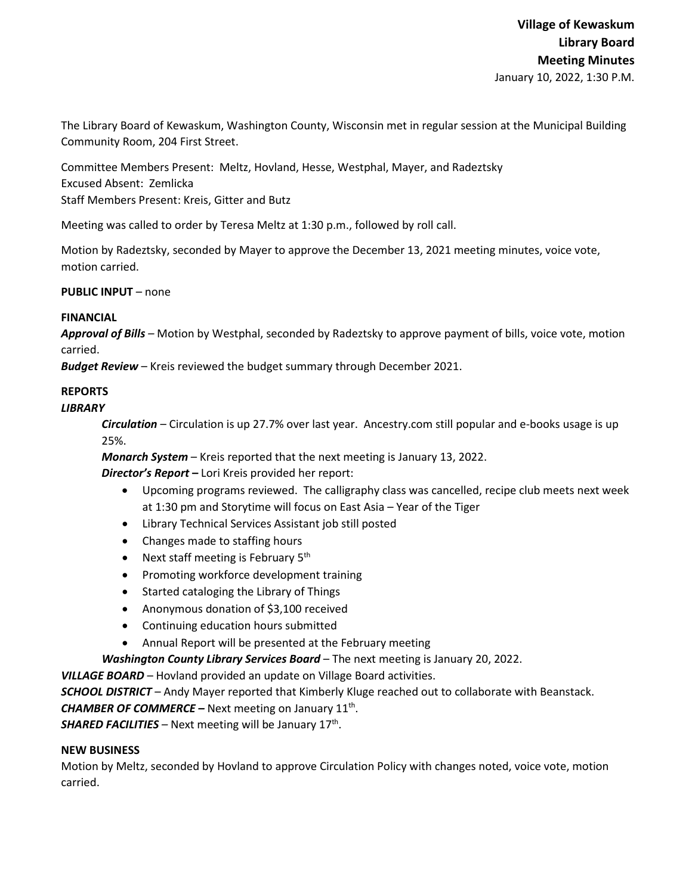The Library Board of Kewaskum, Washington County, Wisconsin met in regular session at the Municipal Building Community Room, 204 First Street.

Committee Members Present: Meltz, Hovland, Hesse, Westphal, Mayer, and Radeztsky Excused Absent: Zemlicka Staff Members Present: Kreis, Gitter and Butz

Meeting was called to order by Teresa Meltz at 1:30 p.m., followed by roll call.

Motion by Radeztsky, seconded by Mayer to approve the December 13, 2021 meeting minutes, voice vote, motion carried.

**PUBLIC INPUT** – none

## **FINANCIAL**

*Approval of Bills –* Motion by Westphal, seconded by Radeztsky to approve payment of bills, voice vote, motion carried.

*Budget Review* – Kreis reviewed the budget summary through December 2021.

# **REPORTS**

### *LIBRARY*

*Circulation* – Circulation is up 27.7% over last year. Ancestry.com still popular and e-books usage is up 25%.

*Monarch System* – Kreis reported that the next meeting is January 13, 2022.

*Director's Report* **–** Lori Kreis provided her report:

- Upcoming programs reviewed. The calligraphy class was cancelled, recipe club meets next week at 1:30 pm and Storytime will focus on East Asia – Year of the Tiger
- Library Technical Services Assistant job still posted
- Changes made to staffing hours
- Next staff meeting is February 5<sup>th</sup>
- Promoting workforce development training
- Started cataloging the Library of Things
- Anonymous donation of \$3,100 received
- Continuing education hours submitted
- Annual Report will be presented at the February meeting

*Washington County Library Services Board* – The next meeting is January 20, 2022.

*VILLAGE BOARD* – Hovland provided an update on Village Board activities.

*SCHOOL DISTRICT* – Andy Mayer reported that Kimberly Kluge reached out to collaborate with Beanstack.

**CHAMBER OF COMMERCE –** Next meeting on January 11<sup>th</sup>.

**SHARED FACILITIES** – Next meeting will be January 17<sup>th</sup>.

## **NEW BUSINESS**

Motion by Meltz, seconded by Hovland to approve Circulation Policy with changes noted, voice vote, motion carried.